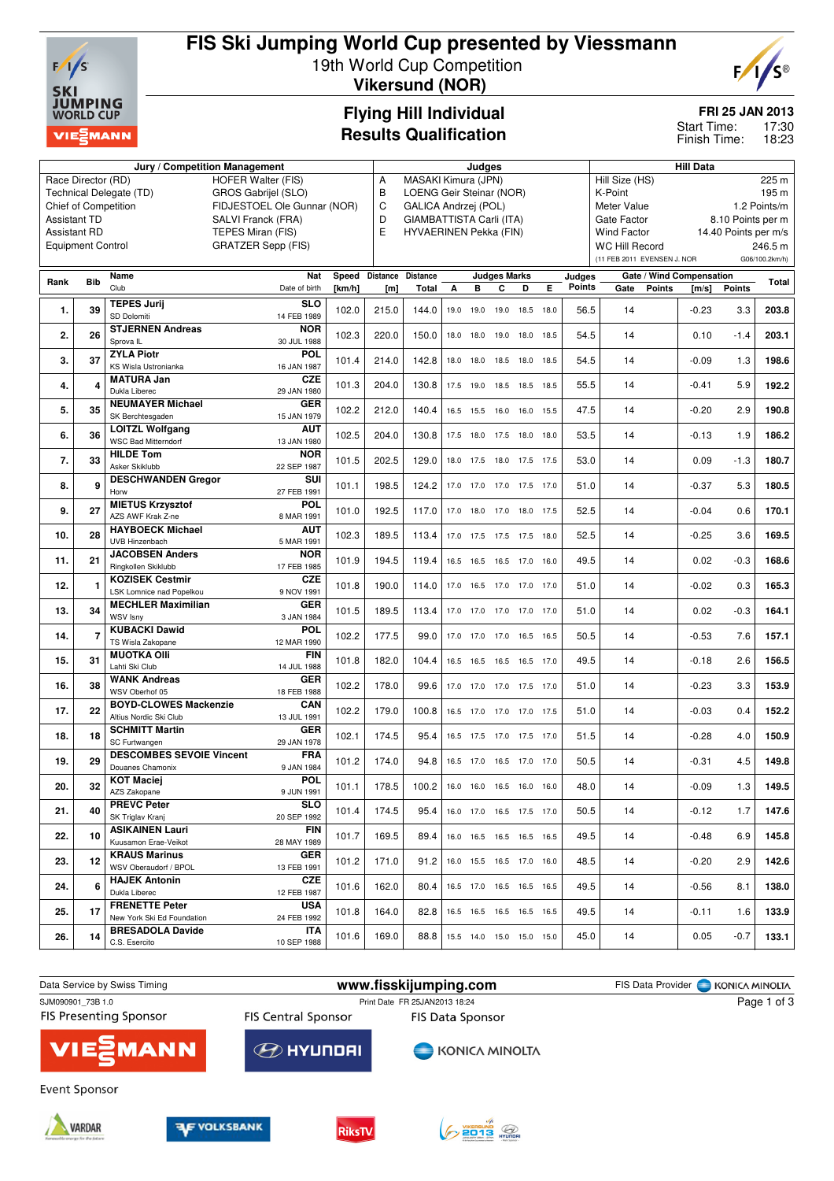

j

## **FIS Ski Jumping World Cup presented by Viessmann**

19th World Cup Competition **Vikersund (NOR)**



**FRI 25 JAN 2013**

17:30 18:23 Start Time: Finish Time:

## **Flying Hill Individual Results Qualification**

|      |                          | Judges                                |                             |        |                           |                          |   |                |                              | <b>Hill Data</b> |      |                                  |                             |         |                      |                |  |
|------|--------------------------|---------------------------------------|-----------------------------|--------|---------------------------|--------------------------|---|----------------|------------------------------|------------------|------|----------------------------------|-----------------------------|---------|----------------------|----------------|--|
|      | Race Director (RD)       |                                       | <b>HOFER Walter (FIS)</b>   |        | A                         | MASAKI Kimura (JPN)      |   |                |                              |                  |      |                                  | Hill Size (HS)              |         |                      | 225 m          |  |
|      |                          | Technical Delegate (TD)               | GROS Gabrijel (SLO)         |        | B                         | LOENG Geir Steinar (NOR) |   |                |                              |                  |      |                                  | K-Point                     |         |                      | 195 m          |  |
|      |                          | Chief of Competition                  | FIDJESTOEL Ole Gunnar (NOR) |        | C<br>GALICA Andrzej (POL) |                          |   |                |                              |                  |      |                                  | 1.2 Points/m<br>Meter Value |         |                      |                |  |
|      | Assistant TD             | SALVI Franck (FRA)                    |                             | D      | GIAMBATTISTA Carli (ITA)  |                          |   |                |                              |                  |      | Gate Factor<br>8.10 Points per m |                             |         |                      |                |  |
|      | Assistant RD             |                                       | TEPES Miran (FIS)           |        | E                         | HYVAERINEN Pekka (FIN)   |   |                |                              |                  |      |                                  | <b>Wind Factor</b>          |         | 14.40 Points per m/s |                |  |
|      | <b>Equipment Control</b> |                                       | <b>GRATZER Sepp (FIS)</b>   |        |                           |                          |   |                |                              |                  |      |                                  | <b>WC Hill Record</b>       |         |                      | 246.5 m        |  |
|      |                          |                                       |                             |        |                           |                          |   |                |                              |                  |      |                                  | (11 FEB 2011 EVENSEN J. NOR |         |                      | G06/100.2km/h) |  |
|      |                          | Name                                  | Nat                         |        |                           | Speed Distance Distance  |   |                | <b>Judges Marks</b>          |                  |      | Judges                           | Gate / Wind Compensation    |         |                      |                |  |
| Rank | <b>Bib</b>               | Club                                  | Date of birth               | [km/h] | [m]                       | Total                    | А | в              | C                            | D                | E.   | <b>Points</b>                    | Gate<br><b>Points</b>       | [m/s]   | Points               | Total          |  |
|      |                          |                                       |                             |        |                           |                          |   |                |                              |                  |      |                                  |                             |         |                      |                |  |
| 1.   | 39                       | <b>TEPES Jurij</b><br>SD Dolomiti     | <b>SLO</b><br>14 FEB 1989   | 102.0  | 215.0                     | 144.0                    |   | 19.0 19.0 19.0 |                              | 18.5 18.0        |      | 56.5                             | 14                          | $-0.23$ | 3.3                  | 203.8          |  |
|      |                          | <b>STJERNEN Andreas</b>               | <b>NOR</b>                  |        |                           |                          |   |                |                              |                  |      |                                  |                             |         |                      |                |  |
| 2.   | 26                       | Sprova <sub>IL</sub>                  | 30 JUL 1988                 | 102.3  | 220.0                     | 150.0                    |   |                | 18.0 18.0 19.0 18.0 18.5     |                  |      | 54.5                             | 14                          | 0.10    | $-1.4$               | 203.1          |  |
|      |                          | <b>ZYLA Piotr</b>                     | <b>POL</b>                  |        |                           |                          |   |                |                              |                  |      |                                  |                             |         |                      |                |  |
| 3.   | 37                       | KS Wisla Ustronianka                  | 16 JAN 1987                 | 101.4  | 214.0                     | 142.8                    |   | 18.0 18.0 18.5 |                              | 18.0 18.5        |      | 54.5                             | 14                          | $-0.09$ | 1.3                  | 198.6          |  |
|      |                          | <b>MATURA Jan</b>                     | <b>CZE</b>                  |        |                           |                          |   |                |                              |                  |      |                                  |                             |         |                      |                |  |
| 4.   | 4                        | Dukla Liberec                         | 29 JAN 1980                 | 101.3  | 204.0                     | 130.8                    |   |                | 17.5 19.0 18.5 18.5 18.5     |                  |      | 55.5                             | 14                          | $-0.41$ | 5.9                  | 192.2          |  |
|      |                          | <b>NEUMAYER Michael</b>               | <b>GER</b>                  |        |                           |                          |   |                |                              |                  |      |                                  |                             |         |                      |                |  |
| 5.   | 35                       | SK Berchtesgaden                      | 15 JAN 1979                 | 102.2  | 212.0                     | 140.4                    |   |                | 16.5 15.5 16.0 16.0 15.5     |                  |      | 47.5                             | 14                          | $-0.20$ | 2.9                  | 190.8          |  |
|      |                          | <b>LOITZL Wolfgang</b>                | <b>AUT</b>                  |        |                           |                          |   |                |                              |                  |      |                                  |                             |         |                      |                |  |
| 6.   | 36                       | <b>WSC Bad Mitterndorf</b>            | 13 JAN 1980                 | 102.5  | 204.0                     | 130.8                    |   |                | 17.5 18.0 17.5 18.0 18.0     |                  |      | 53.5                             | 14                          | $-0.13$ | 1.9                  | 186.2          |  |
|      |                          | <b>HILDE Tom</b>                      | <b>NOR</b>                  |        |                           |                          |   |                |                              |                  |      |                                  |                             |         |                      |                |  |
| 7.   | 33                       | Asker Skiklubb                        | 22 SEP 1987                 | 101.5  | 202.5                     | 129.0                    |   |                | 18.0 17.5 18.0 17.5 17.5     |                  |      | 53.0                             | 14                          | 0.09    | $-1.3$               | 180.7          |  |
|      |                          | <b>DESCHWANDEN Gregor</b>             | SUI                         |        |                           |                          |   |                |                              |                  |      |                                  |                             |         |                      |                |  |
| 8.   | 9                        | Horw                                  | 27 FEB 1991                 | 101.1  | 198.5                     | 124.2                    |   |                | 17.0 17.0 17.0 17.5 17.0     |                  |      | 51.0                             | 14                          | $-0.37$ | 5.3                  | 180.5          |  |
|      |                          | <b>MIETUS Krzysztof</b>               | <b>POL</b>                  |        |                           |                          |   |                |                              |                  |      |                                  |                             |         |                      |                |  |
| 9.   | 27                       | AZS AWF Krak Z-ne                     | 8 MAR 1991                  | 101.0  | 192.5                     | 117.0                    |   |                | 17.0 18.0 17.0 18.0 17.5     |                  |      | 52.5                             | 14                          | $-0.04$ | 0.6                  | 170.1          |  |
| 10.  | 28                       | <b>HAYBOECK Michael</b>               | <b>AUT</b>                  | 102.3  | 189.5                     | 113.4                    |   |                | 17.0 17.5 17.5 17.5 18.0     |                  |      | 52.5                             | 14                          | $-0.25$ | 3.6                  | 169.5          |  |
|      |                          | <b>UVB Hinzenbach</b>                 | 5 MAR 1991                  |        |                           |                          |   |                |                              |                  |      |                                  |                             |         |                      |                |  |
| 11.  | 21                       | <b>JACOBSEN Anders</b>                | <b>NOR</b>                  | 101.9  | 194.5                     | 119.4                    |   |                | 16.5 16.5 16.5 17.0 16.0     |                  |      | 49.5                             | 14                          | 0.02    | $-0.3$               | 168.6          |  |
|      |                          | Ringkollen Skiklubb                   | 17 FEB 1985                 |        |                           |                          |   |                |                              |                  |      |                                  |                             |         |                      |                |  |
| 12.  |                          | <b>KOZISEK Cestmir</b>                | <b>CZE</b>                  | 101.8  | 190.0                     | 114.0                    |   |                | 17.0  16.5  17.0  17.0  17.0 |                  |      | 51.0                             | 14                          | $-0.02$ | 0.3                  | 165.3          |  |
|      |                          | LSK Lomnice nad Popelkou              | 9 NOV 1991                  |        |                           |                          |   |                |                              |                  |      |                                  |                             |         |                      |                |  |
| 13.  | 34                       | <b>MECHLER Maximilian</b>             | <b>GER</b>                  | 101.5  | 189.5                     | 113.4                    |   |                | 17.0 17.0 17.0 17.0 17.0     |                  |      | 51.0                             | 14                          | 0.02    | $-0.3$               | 164.1          |  |
|      |                          | <b>WSV Isny</b>                       | 3 JAN 1984                  |        |                           |                          |   |                |                              |                  |      |                                  |                             |         |                      |                |  |
| 14.  |                          | <b>KUBACKI Dawid</b>                  | <b>POL</b>                  | 102.2  | 177.5                     | 99.0                     |   |                | 17.0 17.0 17.0 16.5 16.5     |                  |      | 50.5                             | 14                          | $-0.53$ | 7.6                  | 157.1          |  |
|      |                          | TS Wisla Zakopane                     | 12 MAR 1990                 |        |                           |                          |   |                |                              |                  |      |                                  |                             |         |                      |                |  |
| 15.  | 31                       | <b>MUOTKA OIII</b>                    | <b>FIN</b>                  | 101.8  | 182.0                     | 104.4                    |   | 16.5 16.5 16.5 |                              | 16.5 17.0        |      | 49.5                             | 14                          | $-0.18$ | 2.6                  | 156.5          |  |
|      |                          | Lahti Ski Club                        | 14 JUL 1988                 |        |                           |                          |   |                |                              |                  |      |                                  |                             |         |                      |                |  |
| 16.  | 38                       | <b>WANK Andreas</b><br>WSV Oberhof 05 | <b>GER</b><br>18 FEB 1988   | 102.2  | 178.0                     | 99.6                     |   |                | 17.0 17.0 17.0 17.5 17.0     |                  |      | 51.0                             | 14                          | $-0.23$ | 3.3                  | 153.9          |  |
|      |                          | <b>BOYD-CLOWES Mackenzie</b>          | CAN                         |        |                           |                          |   |                |                              |                  |      |                                  |                             |         |                      |                |  |
| 17.  | 22                       | Altius Nordic Ski Club                | 13 JUL 1991                 | 102.2  | 179.0                     | 100.8                    |   |                | 16.5 17.0 17.0 17.0 17.5     |                  |      | 51.0                             | 14                          | $-0.03$ | 0.4                  | 152.2          |  |
|      |                          | <b>SCHMITT Martin</b>                 | <b>GER</b>                  |        |                           |                          |   |                |                              |                  |      |                                  |                             |         |                      |                |  |
| 18.  | 18                       | SC Furtwangen                         | 29 JAN 1978                 | 102.1  | 174.5                     | 95.4                     |   |                | 16.5 17.5 17.0 17.5 17.0     |                  |      | 51.5                             | 14                          | -0.28   | 4.0                  | 150.9          |  |
|      |                          | <b>DESCOMBES SEVOIE Vincent</b>       | <b>FRA</b>                  |        |                           |                          |   |                |                              |                  |      |                                  |                             |         |                      |                |  |
| 19.  | 29                       | Douanes Chamonix                      | 9 JAN 1984                  | 101.2  | 174.0                     | 94.8                     |   |                | 16.5 17.0 16.5 17.0          |                  | 17.0 | 50.5                             | 14                          | $-0.31$ | 4.5                  | 149.8          |  |
|      |                          | <b>KOT Maciej</b>                     | <b>POL</b>                  |        |                           |                          |   |                |                              |                  |      |                                  |                             |         |                      |                |  |
| 20.  | 32                       | AZS Zakopane                          | 9 JUN 1991                  | 101.1  | 178.5                     | 100.2                    |   | 16.0 16.0 16.5 |                              | 16.0 16.0        |      | 48.0                             | 14                          | $-0.09$ | 1.3                  | 149.5          |  |
|      |                          | <b>PREVC Peter</b>                    | <b>SLO</b>                  |        |                           |                          |   |                |                              |                  |      |                                  |                             |         |                      |                |  |
| 21.  | 40                       | SK Triglav Kranj                      | 20 SEP 1992                 | 101.4  | 174.5                     | 95.4                     |   |                | 16.0 17.0 16.5 17.5 17.0     |                  |      | 50.5                             | 14                          | $-0.12$ | 1.7                  | 147.6          |  |
|      |                          | <b>ASIKAINEN Lauri</b>                | FIN                         |        |                           |                          |   |                |                              |                  |      |                                  |                             |         |                      |                |  |
| 22.  | 10                       | Kuusamon Erae-Veikot                  | 28 MAY 1989                 | 101.7  | 169.5                     | 89.4                     |   |                | 16.0 16.5 16.5 16.5 16.5     |                  |      | 49.5                             | 14                          | $-0.48$ | 6.9                  | 145.8          |  |
|      | 12                       | <b>KRAUS Marinus</b>                  | <b>GER</b>                  | 101.2  | 171.0                     |                          |   |                |                              |                  |      | 48.5                             | 14                          | $-0.20$ | 2.9                  |                |  |
| 23.  |                          | WSV Oberaudorf / BPOL                 | 13 FEB 1991                 |        |                           | 91.2                     |   |                | 16.0 15.5 16.5 17.0 16.0     |                  |      |                                  |                             |         |                      | 142.6          |  |
| 24.  | 6                        | <b>HAJEK Antonin</b>                  | <b>CZE</b>                  | 101.6  | 162.0                     | 80.4                     |   |                | 16.5 17.0 16.5 16.5 16.5     |                  |      | 49.5                             | 14                          | $-0.56$ | 8.1                  | 138.0          |  |
|      |                          | Dukla Liberec                         | 12 FEB 1987                 |        |                           |                          |   |                |                              |                  |      |                                  |                             |         |                      |                |  |
| 25.  | 17                       | <b>FRENETTE Peter</b>                 | <b>USA</b>                  | 101.8  | 164.0                     | 82.8                     |   |                | 16.5 16.5 16.5 16.5 16.5     |                  |      | 49.5                             | 14                          | $-0.11$ | 1.6                  | 133.9          |  |
|      |                          | New York Ski Ed Foundation            | 24 FEB 1992                 |        |                           |                          |   |                |                              |                  |      |                                  |                             |         |                      |                |  |
| 26.  | 14                       | <b>BRESADOLA Davide</b>               | IΤΑ                         | 101.6  | 169.0                     | 88.8                     |   |                | 15.5 14.0 15.0 15.0 15.0     |                  |      | 45.0                             | 14                          | 0.05    | $-0.7$               | 133.1          |  |
|      |                          | C.S. Esercito                         | 10 SEP 1988                 |        |                           |                          |   |                |                              |                  |      |                                  |                             |         |                      |                |  |
|      |                          |                                       |                             |        |                           |                          |   |                |                              |                  |      |                                  |                             |         |                      |                |  |

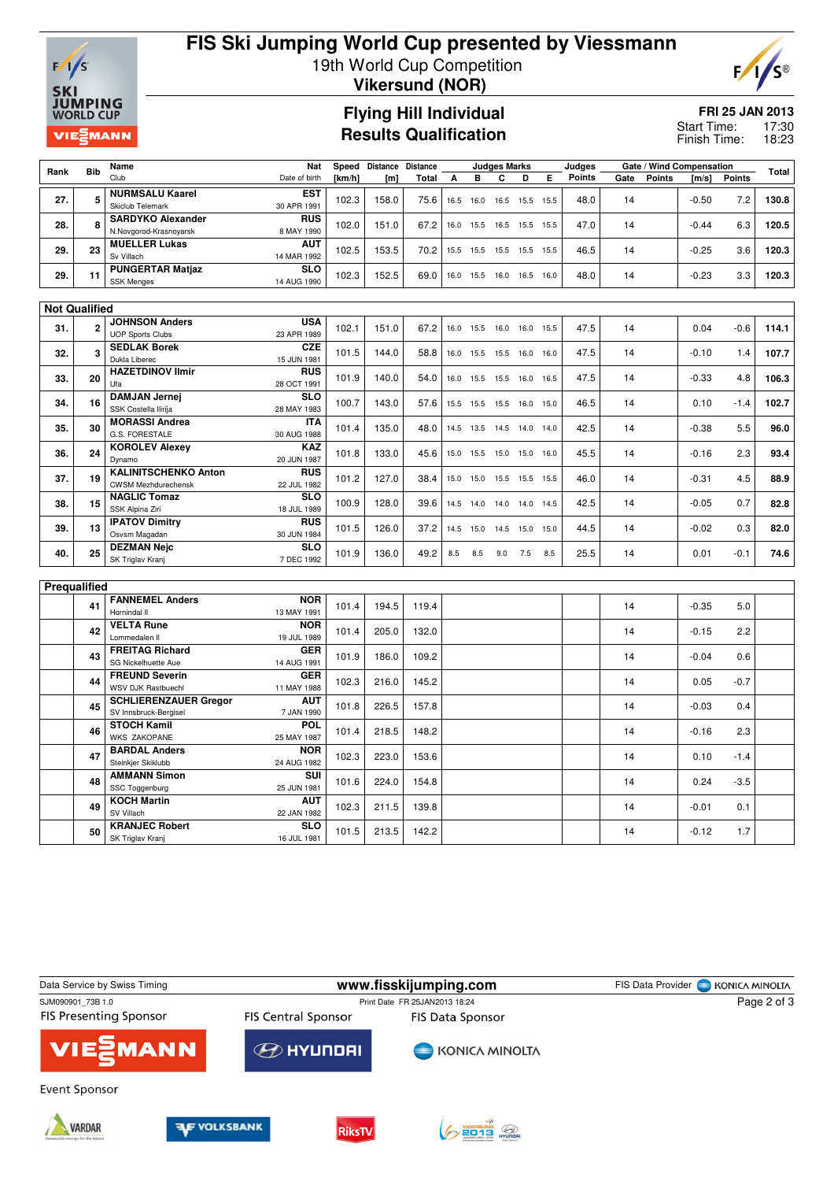

# **FIS Ski Jumping World Cup presented by Viessmann** 19th World Cup Competition



**Vikersund (NOR)**

### **Flying Hill Individual Results Qualification**

#### **FRI 25 JAN 2013**

17:30 18:23 Start Time: Finish Time:

|      |                      | Name                                          | Nat                       | Speed      | Distance Distance |              |      |                     | <b>Judges Marks</b> |                              |      | Judges        |      |               | Gate / Wind Compensation |               |       |
|------|----------------------|-----------------------------------------------|---------------------------|------------|-------------------|--------------|------|---------------------|---------------------|------------------------------|------|---------------|------|---------------|--------------------------|---------------|-------|
| Rank | <b>Bib</b>           | Club                                          | Date of birth             | [ $km/h$ ] | [m]               | <b>Total</b> | А    | B                   | C                   | D                            | E.   | <b>Points</b> | Gate | <b>Points</b> | [m/s]                    | <b>Points</b> | Total |
|      |                      | <b>NURMSALU Kaarel</b>                        | <b>EST</b>                |            |                   |              |      |                     |                     |                              |      |               | 14   |               |                          |               |       |
| 27.  | 5                    | Skiclub Telemark                              | 30 APR 1991               | 102.3      | 158.0             | 75.6         | 16.5 | 16.0                | 16.5 15.5           |                              | 15.5 | 48.0          |      |               | $-0.50$                  | 7.2           | 130.8 |
| 28.  | 8                    | <b>SARDYKO Alexander</b>                      | <b>RUS</b>                | 102.0      | 151.0             | 67.2         | 16.0 |                     |                     | 15.5 16.5 15.5 15.5          |      | 47.0          | 14   |               | $-0.44$                  | 6.3           | 120.5 |
|      |                      | N.Novgorod-Krasnoyarsk                        | 8 MAY 1990                |            |                   |              |      |                     |                     |                              |      |               |      |               |                          |               |       |
| 29.  | 23                   | <b>MUELLER Lukas</b>                          | AUT                       | 102.5      | 153.5             | 70.2         |      |                     |                     | 15.5 15.5 15.5 15.5 15.5     |      | 46.5          | 14   |               | $-0.25$                  | 3.6           | 120.3 |
|      |                      | Sv Villach<br><b>PUNGERTAR Matjaz</b>         | 14 MAR 1992<br><b>SLO</b> |            |                   |              |      |                     |                     |                              |      |               |      |               |                          |               |       |
| 29.  | 11                   | <b>SSK Menges</b>                             | 14 AUG 1990               | 102.3      | 152.5             | 69.0         |      |                     |                     | 16.0  15.5  16.0  16.5  16.0 |      | 48.0          | 14   |               | $-0.23$                  | 3.3           | 120.3 |
|      |                      |                                               |                           |            |                   |              |      |                     |                     |                              |      |               |      |               |                          |               |       |
|      | <b>Not Qualified</b> |                                               |                           |            |                   |              |      |                     |                     |                              |      |               |      |               |                          |               |       |
|      |                      | <b>JOHNSON Anders</b>                         | <b>USA</b>                |            |                   |              |      |                     |                     |                              |      |               |      |               |                          |               |       |
| 31.  | 2                    | <b>UOP Sports Clubs</b>                       | 23 APR 1989               | 102.1      | 151.0             | 67.2         | 16.0 |                     | 15.5 16.0 16.0      |                              | 15.5 | 47.5          | 14   |               | 0.04                     | $-0.6$        | 114.1 |
|      |                      | <b>SEDLAK Borek</b>                           | <b>CZE</b>                |            |                   |              |      |                     |                     |                              |      |               |      |               |                          |               |       |
| 32.  | 3                    | Dukla Liberec                                 | 15 JUN 1981               | 101.5      | 144.0             | 58.8         |      |                     |                     | 16.0 15.5 15.5 16.0 16.0     |      | 47.5          | 14   |               | $-0.10$                  | 1.4           | 107.7 |
| 33.  | 20                   | <b>HAZETDINOV Ilmir</b>                       | <b>RUS</b>                | 101.9      | 140.0             | 54.0         |      | 16.0 15.5 15.5 16.0 |                     |                              | 16.5 | 47.5          | 14   |               | $-0.33$                  | 4.8           | 106.3 |
|      |                      | Ufa                                           | 28 OCT 1991               |            |                   |              |      |                     |                     |                              |      |               |      |               |                          |               |       |
| 34.  | 16                   | <b>DAMJAN Jernei</b>                          | <b>SLO</b>                | 100.7      | 143.0             | 57.6         |      | 15.5 15.5 15.5 16.0 |                     |                              | 15.0 | 46.5          | 14   |               | 0.10                     | $-1.4$        | 102.7 |
|      |                      | SSK Costella Ilirija<br><b>MORASSI Andrea</b> | 28 MAY 1983<br><b>ITA</b> |            |                   |              |      |                     |                     |                              |      |               |      |               |                          |               |       |
| 35.  | 30                   | G.S. FORESTALE                                | 30 AUG 1988               | 101.4      | 135.0             | 48.0         | 14.5 | 13.5 14.5 14.0      |                     |                              | 14.0 | 42.5          | 14   |               | $-0.38$                  | 5.5           | 96.0  |
|      |                      | <b>KOROLEV Alexey</b>                         | KAZ                       |            |                   |              |      |                     |                     |                              |      |               |      |               |                          |               |       |
| 36.  | 24                   | Dynamo                                        | 20 JUN 1987               | 101.8      | 133.0             | 45.6         |      |                     |                     | 15.0  15.5  15.0  15.0  16.0 |      | 45.5          | 14   |               | $-0.16$                  | 2.3           | 93.4  |
|      |                      | <b>KALINITSCHENKO Anton</b>                   | <b>RUS</b>                | 101.2      | 127.0             | 38.4         |      |                     |                     |                              |      | 46.0          | 14   |               |                          | 4.5           |       |
| 37.  | 19                   | <b>CWSM Mezhdurechensk</b>                    | 22 JUL 1982               |            |                   |              |      |                     |                     | 15.0 15.0 15.5 15.5 15.5     |      |               |      |               | $-0.31$                  |               | 88.9  |
| 38.  | 15                   | <b>NAGLIC Tomaz</b>                           | <b>SLO</b>                | 100.9      | 128.0             | 39.6         | 14.5 | 14.0 14.0 14.0      |                     |                              | 14.5 | 42.5          | 14   |               | $-0.05$                  | 0.7           | 82.8  |
|      |                      | SSK Alpina Ziri                               | 18 JUL 1989               |            |                   |              |      |                     |                     |                              |      |               |      |               |                          |               |       |
| 39.  | 13                   | <b>IPATOV Dimitry</b>                         | <b>RUS</b>                | 101.5      | 126.0             | 37.2         | 14.5 |                     | 15.0 14.5 15.0      |                              | 15.0 | 44.5          | 14   |               | $-0.02$                  | 0.3           | 82.0  |
|      |                      | Osvsm Magadan<br><b>DEZMAN Nejc</b>           | 30 JUN 1984<br><b>SLO</b> |            |                   |              |      |                     |                     |                              |      |               |      |               |                          |               |       |
| 40.  | 25                   | SK Triglav Kranj                              | 7 DEC 1992                | 101.9      | 136.0             | 49.2         | 8.5  | 8.5                 | 9.0                 | 7.5                          | 8.5  | 25.5          | 14   |               | 0.01                     | $-0.1$        | 74.6  |
|      |                      |                                               |                           |            |                   |              |      |                     |                     |                              |      |               |      |               |                          |               |       |
|      | <b>Prequalified</b>  |                                               |                           |            |                   |              |      |                     |                     |                              |      |               |      |               |                          |               |       |
|      |                      | <b>FANNEMEL Anders</b>                        | <b>NOR</b>                |            |                   |              |      |                     |                     |                              |      |               |      |               |                          |               |       |
|      | 41                   | Hornindal II                                  | 13 MAY 1991               | 101.4      | 194.5             | 119.4        |      |                     |                     |                              |      |               | 14   |               | $-0.35$                  | 5.0           |       |
|      | 42                   | <b>VELTA Rune</b>                             | <b>NOR</b>                | 101.4      | 205.0             | 132.0        |      |                     |                     |                              |      |               | 14   |               | $-0.15$                  | 2.2           |       |
|      |                      | Lommedalen II                                 | 19 JUL 1989               |            |                   |              |      |                     |                     |                              |      |               |      |               |                          |               |       |
|      | 43                   | <b>FREITAG Richard</b>                        | <b>GER</b>                | 101.9      | 186.0             | 109.2        |      |                     |                     |                              |      |               | 14   |               | $-0.04$                  | 0.6           |       |
|      |                      | SG Nickelhuette Aue<br><b>FREUND Severin</b>  | 14 AUG 1991<br><b>GER</b> |            |                   |              |      |                     |                     |                              |      |               |      |               |                          |               |       |
|      | 44                   | <b>WSV DJK Rastbuechl</b>                     | 11 MAY 1988               | 102.3      | 216.0             | 145.2        |      |                     |                     |                              |      |               | 14   |               | 0.05                     | $-0.7$        |       |
|      |                      | <b>SCHLIERENZAUER Gregor</b>                  | <b>AUT</b>                |            |                   |              |      |                     |                     |                              |      |               |      |               |                          |               |       |
|      | 45                   | SV Innsbruck-Bergisel                         | 7 JAN 1990                | 101.8      | 226.5             | 157.8        |      |                     |                     |                              |      |               | 14   |               | $-0.03$                  | 0.4           |       |
|      |                      | <b>STOCH Kamil</b>                            | POL                       |            |                   |              |      |                     |                     |                              |      |               |      |               |                          |               |       |
|      | 46                   | <b>WKS ZAKOPANE</b>                           | 25 MAY 1987               | 101.4      | 218.5             | 148.2        |      |                     |                     |                              |      |               | 14   |               | $-0.16$                  | 2.3           |       |
|      | 47                   | <b>BARDAL Anders</b>                          | <b>NOR</b>                | 102.3      | 223.0             | 153.6        |      |                     |                     |                              |      |               | 14   |               | 0.10                     | $-1.4$        |       |
|      |                      | Steinkjer Skiklubb                            | 24 AUG 1982               |            |                   |              |      |                     |                     |                              |      |               |      |               |                          |               |       |
|      | 48                   | <b>AMMANN Simon</b>                           | SUI                       | 101.6      | 224.0             | 154.8        |      |                     |                     |                              |      |               | 14   |               | 0.24                     | $-3.5$        |       |
|      |                      | SSC Toggenburg<br><b>KOCH Martin</b>          | 25 JUN 1981<br>AUT        |            |                   |              |      |                     |                     |                              |      |               |      |               |                          |               |       |
|      | 49                   | SV Villach                                    | 22 JAN 1982               | 102.3      | 211.5             | 139.8        |      |                     |                     |                              |      |               | 14   |               | $-0.01$                  | 0.1           |       |
|      |                      | <b>KRANJEC Robert</b>                         | <b>SLO</b>                |            |                   |              |      |                     |                     |                              |      |               |      |               |                          |               |       |
|      | 50                   | SK Triglav Kranj                              | 16 JUL 1981               | 101.5      | 213.5             | 142.2        |      |                     |                     |                              |      |               | 14   |               | $-0.12$                  | 1.7           |       |